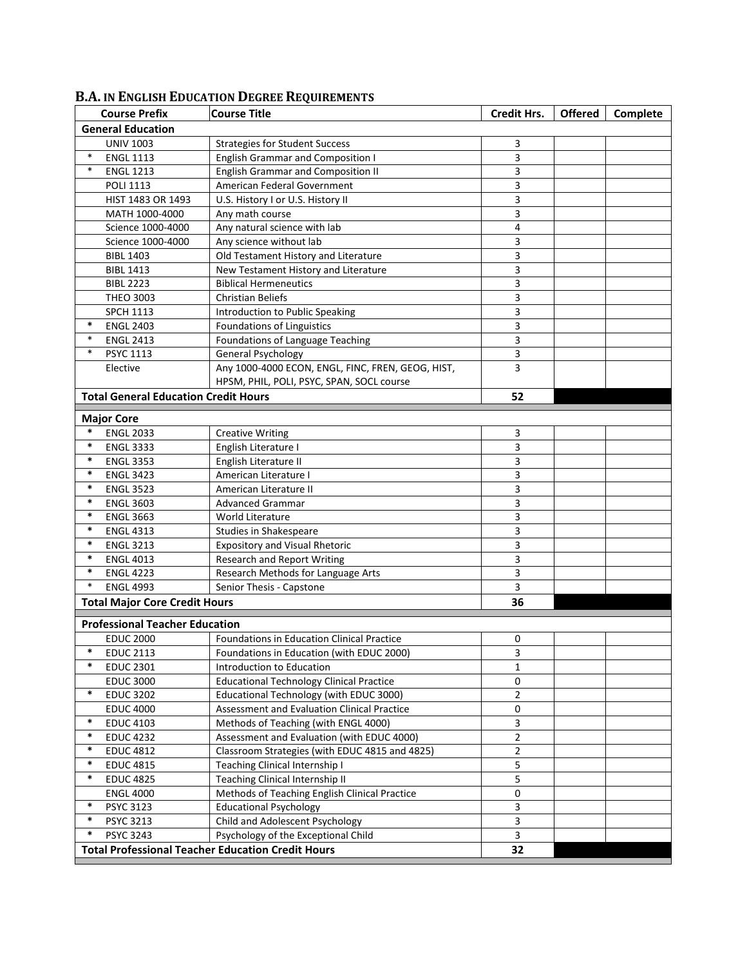|                                      | <b>Course Prefix</b>                        | <b>Course Title</b>                                      | <b>Credit Hrs.</b>      | <b>Offered</b> | Complete |  |  |
|--------------------------------------|---------------------------------------------|----------------------------------------------------------|-------------------------|----------------|----------|--|--|
| <b>General Education</b>             |                                             |                                                          |                         |                |          |  |  |
|                                      | <b>UNIV 1003</b>                            | <b>Strategies for Student Success</b>                    | 3                       |                |          |  |  |
| $\ast$                               | <b>ENGL 1113</b>                            | <b>English Grammar and Composition I</b>                 | 3                       |                |          |  |  |
| $\ast$                               | <b>ENGL 1213</b>                            | <b>English Grammar and Composition II</b>                | 3                       |                |          |  |  |
|                                      | <b>POLI 1113</b>                            | American Federal Government                              | 3                       |                |          |  |  |
|                                      | HIST 1483 OR 1493                           | U.S. History I or U.S. History II                        | 3                       |                |          |  |  |
|                                      | MATH 1000-4000                              | Any math course                                          | 3                       |                |          |  |  |
|                                      | Science 1000-4000                           | Any natural science with lab                             | 4                       |                |          |  |  |
|                                      | Science 1000-4000                           | Any science without lab                                  | 3                       |                |          |  |  |
|                                      | <b>BIBL 1403</b>                            | Old Testament History and Literature                     | 3                       |                |          |  |  |
|                                      | <b>BIBL 1413</b>                            | New Testament History and Literature                     | 3                       |                |          |  |  |
|                                      | <b>BIBL 2223</b>                            | <b>Biblical Hermeneutics</b>                             | 3                       |                |          |  |  |
|                                      | <b>THEO 3003</b>                            | <b>Christian Beliefs</b>                                 | 3                       |                |          |  |  |
|                                      | <b>SPCH 1113</b>                            | Introduction to Public Speaking                          | 3                       |                |          |  |  |
| $\ast$                               | <b>ENGL 2403</b>                            | Foundations of Linguistics                               | 3                       |                |          |  |  |
| $\ast$                               | <b>ENGL 2413</b>                            | Foundations of Language Teaching                         | 3                       |                |          |  |  |
| $\ast$                               | <b>PSYC 1113</b>                            | <b>General Psychology</b>                                | 3                       |                |          |  |  |
|                                      | Elective                                    | Any 1000-4000 ECON, ENGL, FINC, FREN, GEOG, HIST,        | 3                       |                |          |  |  |
|                                      |                                             | HPSM, PHIL, POLI, PSYC, SPAN, SOCL course                |                         |                |          |  |  |
|                                      | <b>Total General Education Credit Hours</b> |                                                          | 52                      |                |          |  |  |
|                                      | <b>Major Core</b>                           |                                                          |                         |                |          |  |  |
| $\ast$                               |                                             |                                                          |                         |                |          |  |  |
| $\ast$                               | <b>ENGL 2033</b><br><b>ENGL 3333</b>        | <b>Creative Writing</b><br>English Literature I          | 3<br>3                  |                |          |  |  |
| $\ast$                               | <b>ENGL 3353</b>                            | English Literature II                                    | 3                       |                |          |  |  |
| $\ast$                               | <b>ENGL 3423</b>                            | American Literature I                                    | 3                       |                |          |  |  |
| $\ast$                               | <b>ENGL 3523</b>                            | American Literature II                                   | 3                       |                |          |  |  |
| $\ast$                               | <b>ENGL 3603</b>                            | <b>Advanced Grammar</b>                                  | 3                       |                |          |  |  |
| $\ast$                               | <b>ENGL 3663</b>                            | World Literature                                         | 3                       |                |          |  |  |
| $\ast$                               | <b>ENGL 4313</b>                            | Studies in Shakespeare                                   | 3                       |                |          |  |  |
| $\ast$                               | <b>ENGL 3213</b>                            | <b>Expository and Visual Rhetoric</b>                    | 3                       |                |          |  |  |
| $\ast$                               | <b>ENGL 4013</b>                            | <b>Research and Report Writing</b>                       | 3                       |                |          |  |  |
| $\ast$                               | <b>ENGL 4223</b>                            | Research Methods for Language Arts                       | 3                       |                |          |  |  |
| $\ast$                               | <b>ENGL 4993</b>                            | Senior Thesis - Capstone                                 | 3                       |                |          |  |  |
|                                      |                                             |                                                          | 36                      |                |          |  |  |
| <b>Total Major Core Credit Hours</b> |                                             |                                                          |                         |                |          |  |  |
|                                      | <b>Professional Teacher Education</b>       |                                                          |                         |                |          |  |  |
|                                      | <b>EDUC 2000</b>                            | <b>Foundations in Education Clinical Practice</b>        | 0                       |                |          |  |  |
|                                      | EDUC 2113                                   | Foundations in Education (with EDUC 2000)                | 3                       |                |          |  |  |
| $\ast$                               | <b>EDUC 2301</b>                            | Introduction to Education                                | $\mathbf{1}$            |                |          |  |  |
|                                      | <b>EDUC 3000</b>                            | <b>Educational Technology Clinical Practice</b>          | 0                       |                |          |  |  |
| $\ast$                               | <b>EDUC 3202</b>                            | Educational Technology (with EDUC 3000)                  | $\overline{2}$          |                |          |  |  |
|                                      | <b>EDUC 4000</b>                            | Assessment and Evaluation Clinical Practice              | 0                       |                |          |  |  |
| $\ast$                               | <b>EDUC 4103</b>                            | Methods of Teaching (with ENGL 4000)                     | 3                       |                |          |  |  |
| *                                    | <b>EDUC 4232</b>                            | Assessment and Evaluation (with EDUC 4000)               | $\overline{2}$          |                |          |  |  |
| $\ast$                               | <b>EDUC 4812</b>                            | Classroom Strategies (with EDUC 4815 and 4825)           | $\overline{2}$          |                |          |  |  |
| $\ast$                               | <b>EDUC 4815</b>                            | Teaching Clinical Internship I                           | 5                       |                |          |  |  |
| $\ast$                               | <b>EDUC 4825</b>                            | Teaching Clinical Internship II                          | 5                       |                |          |  |  |
|                                      | <b>ENGL 4000</b>                            | Methods of Teaching English Clinical Practice            | 0                       |                |          |  |  |
| $\ast$                               | <b>PSYC 3123</b>                            | <b>Educational Psychology</b>                            | 3                       |                |          |  |  |
| *                                    | <b>PSYC 3213</b>                            | Child and Adolescent Psychology                          | $\mathbf{3}$            |                |          |  |  |
| $\ast$                               | <b>PSYC 3243</b>                            | Psychology of the Exceptional Child                      | $\overline{\mathbf{3}}$ |                |          |  |  |
|                                      |                                             | <b>Total Professional Teacher Education Credit Hours</b> | 32                      |                |          |  |  |

## **B.A. IN ENGLISH EDUCATION DEGREE REQUIREMENTS**